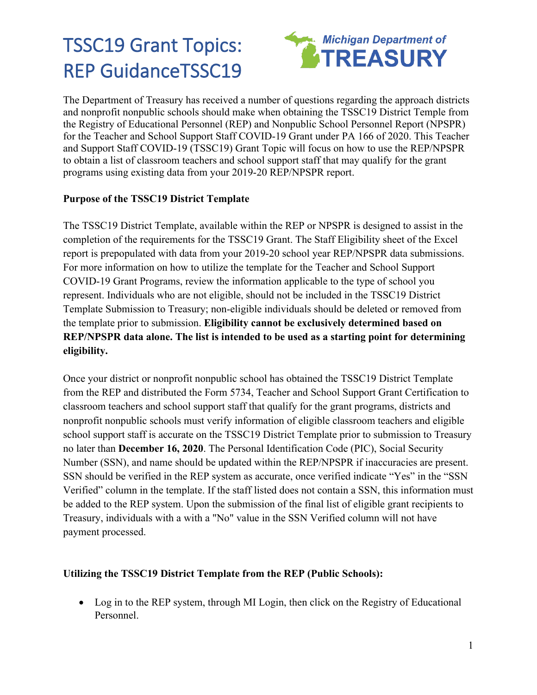# TSSC19 Grant Topics: REP GuidanceTSSC19



The Department of Treasury has received a number of questions regarding the approach districts and nonprofit nonpublic schools should make when obtaining the TSSC19 District Temple from the Registry of Educational Personnel (REP) and Nonpublic School Personnel Report (NPSPR) for the Teacher and School Support Staff COVID-19 Grant under PA 166 of 2020. This Teacher and Support Staff COVID-19 (TSSC19) Grant Topic will focus on how to use the REP/NPSPR to obtain a list of classroom teachers and school support staff that may qualify for the grant programs using existing data from your 2019-20 REP/NPSPR report.

## **Purpose of the TSSC19 District Template**

The TSSC19 District Template, available within the REP or NPSPR is designed to assist in the completion of the requirements for the TSSC19 Grant. The Staff Eligibility sheet of the Excel report is prepopulated with data from your 2019-20 school year REP/NPSPR data submissions. For more information on how to utilize the template for the Teacher and School Support COVID-19 Grant Programs, review the information applicable to the type of school you represent. Individuals who are not eligible, should not be included in the TSSC19 District Template Submission to Treasury; non-eligible individuals should be deleted or removed from the template prior to submission. **Eligibility cannot be exclusively determined based on REP/NPSPR data alone. The list is intended to be used as a starting point for determining eligibility.**

Once your district or nonprofit nonpublic school has obtained the TSSC19 District Template from the REP and distributed the [Form 573](https://www.michigan.gov/documents/treasury/Form_5734_TSSC19_Certifications_002_705855_7.pdf)4, Teacher and School Support Grant Certification to classroom teachers and school support staff that qualify for the grant programs, districts and nonprofit nonpublic schools must verify information of eligible classroom teachers and eligible school support staff is accurate on the TSSC19 District Template prior to submission to Treasury no later than **December 16, 2020**. The Personal Identification Code (PIC), Social Security Number (SSN), and name should be updated within the REP/NPSPR if inaccuracies are present. SSN should be verified in the REP system as accurate, once verified indicate "Yes" in the "SSN Verified" column in the template. If the staff listed does not contain a SSN, this information must be added to the REP system. Upon the submission of the final list of eligible grant recipients to Treasury, individuals with a with a "No" value in the SSN Verified column will not have payment processed.

### **Utilizing the TSSC19 District Template from the REP (Public Schools):**

• Log in to the REP system, through MI Login, then click on the Registry of Educational Personnel.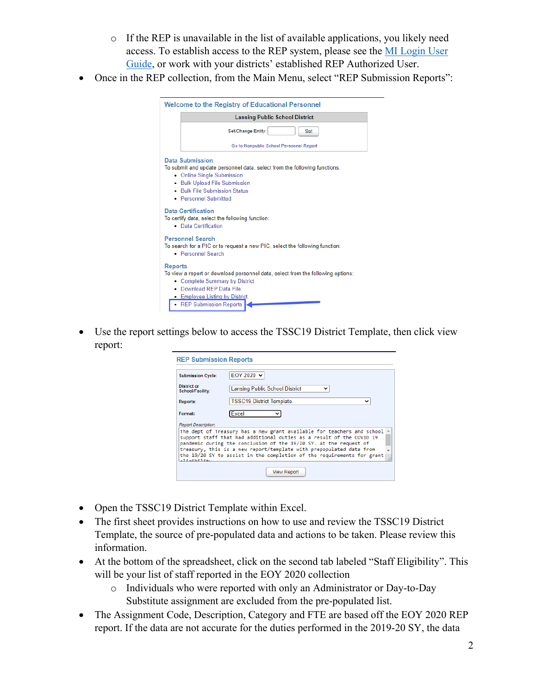- o If the REP is unavailable in the list of available applications, you likely need access. To establish access to the REP system, please see the [MI Login User](https://www.michigan.gov/documents/cepi/MILogin_Users_Guide_531016_7.pdf)  [Guide,](https://www.michigan.gov/documents/cepi/MILogin_Users_Guide_531016_7.pdf) or work with your districts' established REP Authorized User.
- Once in the REP collection, from the Main Menu, select "REP Submission Reports":

|                | <b>Welcome to the Registry of Educational Personnel</b>                                                                                                                                                               |
|----------------|-----------------------------------------------------------------------------------------------------------------------------------------------------------------------------------------------------------------------|
|                | <b>Lansing Public School District</b>                                                                                                                                                                                 |
|                | Set/Change Entity:<br><b>Set</b>                                                                                                                                                                                      |
|                | Go to Nonpublic School Personnel Report                                                                                                                                                                               |
|                | Data Submission<br>To submit and update personnel data, select from the following functions:<br>• Online Single Submission<br>. Bulk Upload File Submission<br>. Bulk File Submission Status<br>• Personnel Submitted |
|                | <b>Data Certification</b><br>To certify data, select the following function:<br>• Data Certification                                                                                                                  |
|                | <b>Personnel Search</b><br>To search for a PIC or to request a new PIC, select the following function:<br>• Personnel Search                                                                                          |
| <b>Reports</b> | To view a report or download personnel data, select from the following options:<br>• Complete Summary by District<br>• Download REP Data File<br>• Employee Listing by District<br><b>REP Submission Reports</b>      |

• Use the report settings below to access the TSSC19 District Template, then click view report:

| <b>REP Submission Reports</b>   |                                                                                                                                                                                                                                                                                                                                                                      |
|---------------------------------|----------------------------------------------------------------------------------------------------------------------------------------------------------------------------------------------------------------------------------------------------------------------------------------------------------------------------------------------------------------------|
|                                 |                                                                                                                                                                                                                                                                                                                                                                      |
| <b>Submission Cycle:</b>        | EOY 2020 V                                                                                                                                                                                                                                                                                                                                                           |
| District or<br>School/Facility: | <b>Lansing Public School District</b>                                                                                                                                                                                                                                                                                                                                |
| Reports:                        | <b>TSSC19 District Template</b>                                                                                                                                                                                                                                                                                                                                      |
| Format:                         | Excel                                                                                                                                                                                                                                                                                                                                                                |
| <b>Report Description:</b>      |                                                                                                                                                                                                                                                                                                                                                                      |
| وساواته والمتواطنة والاد        | The dept of Treasury has a new grant available for teachers and school<br>support staff that had additional duties as a result of the COVID 19<br>pandemic during the conclusion of the 19/20 SY. At the request of<br>treasury, this is a new report/template with prepopulated data from<br>the 19/20 SY to assist in the completion of the requirements for grant |
|                                 | <b>View Report</b>                                                                                                                                                                                                                                                                                                                                                   |

- Open the TSSC19 District Template within Excel.
- The first sheet provides instructions on how to use and review the TSSC19 District Template, the source of pre-populated data and actions to be taken. Please review this information.
- At the bottom of the spreadsheet, click on the second tab labeled "Staff Eligibility". This will be your list of staff reported in the EOY 2020 collection
	- o Individuals who were reported with only an Administrator or Day-to-Day Substitute assignment are excluded from the pre-populated list.
- The Assignment Code, Description, Category and FTE are based off the EOY 2020 REP report. If the data are not accurate for the duties performed in the 2019-20 SY, the data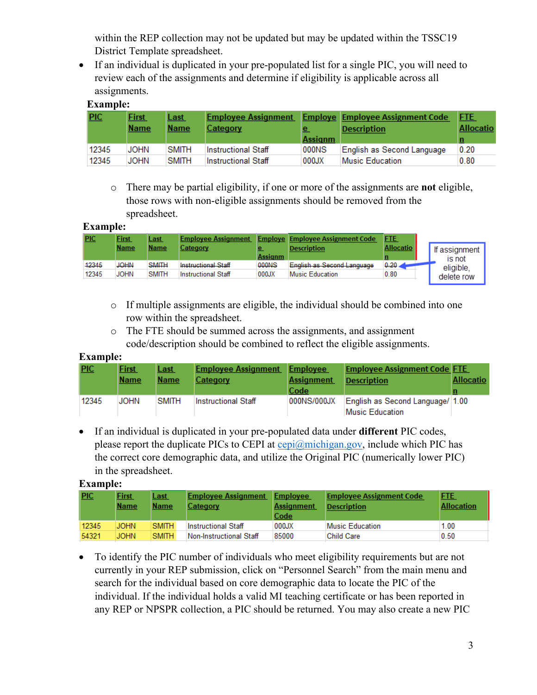within the REP collection may not be updated but may be updated within the TSSC19 District Template spreadsheet.

• If an individual is duplicated in your pre-populated list for a single PIC, you will need to review each of the assignments and determine if eligibility is applicable across all assignments.

## **Example:**

| PIC   | <b>First</b><br><b>Name</b> | <b>Last</b><br>Name | <b>Employee Assignment</b><br>Category | e<br><b>Assignm</b> | <b>Employe Employee Assignment Code</b><br><b>Description</b> | <b>FTE</b><br>Allocatio |
|-------|-----------------------------|---------------------|----------------------------------------|---------------------|---------------------------------------------------------------|-------------------------|
| 12345 | JOHN                        | <b>SMITH</b>        | <b>Instructional Staff</b>             | 000NS               | English as Second Language                                    | 0.20                    |
| 12345 | JOHN                        | <b>SMITH</b>        | <b>Instructional Staff</b>             | 000JX               | Music Education                                               | 0.80                    |

o There may be partial eligibility, if one or more of the assignments are **not** eligible, those rows with non-eligible assignments should be removed from the spreadsheet.

#### **Example:**

| <b>PIC</b> | <b>First</b><br><b>Name</b> | <u>Last</u><br><b>Name</b> | <b>Employee Assignment</b><br>Category | Assianm | <b>Employe Employee Assignment Code</b><br><b>Description</b> | <b>FTE</b><br><b>Allocatio</b> | If assignment<br>is not |
|------------|-----------------------------|----------------------------|----------------------------------------|---------|---------------------------------------------------------------|--------------------------------|-------------------------|
| 12345      | JOHN                        | <b>SMITH</b>               | <b>Instructional Staff</b>             | 000NS   | English as Second Language                                    | 0.20.                          | eligible.               |
| 12345      | JOHN                        | <b>SMITH</b>               | Instructional Staff                    | 000JX   | Music Education                                               | 0.80                           | delete row              |

- o If multiple assignments are eligible, the individual should be combined into one row within the spreadsheet.
- o The FTE should be summed across the assignments, and assignment code/description should be combined to reflect the eligible assignments.

#### **Example:**

| PIC   | <b>First</b> | <b>Last</b>  | <b>Employee Assignment</b> | Employee          | <b>Employee Assignment Code FTE</b> |                  |
|-------|--------------|--------------|----------------------------|-------------------|-------------------------------------|------------------|
|       | <b>Name</b>  | Name         | Category                   | <b>Assignment</b> | <b>Description</b>                  | <b>Allocatio</b> |
|       |              |              |                            | Code              |                                     |                  |
| 12345 | JOHN         | <b>SMITH</b> | Instructional Staff        | 000NS/000JX       | English as Second Language/ 1.00    |                  |
|       |              |              |                            |                   | Music Education                     |                  |

• If an individual is duplicated in your pre-populated data under **different** PIC codes, please report the duplicate PICs to CEPI at  $\text{cepi}(\widehat{a}$  michigan.gov, include which PIC has the correct core demographic data, and utilize the Original PIC (numerically lower PIC) in the spreadsheet.

#### **Example:**

| PIC   | <b>First</b><br><b>Name</b> | <u>Last</u><br><b>Name</b> | <b>Employee Assignment</b><br>Category | Employee<br>Assignment<br>Code | <b>Employee Assignment Code</b><br><b>Description</b> | <b>FTE</b><br><b>Allocation</b> |
|-------|-----------------------------|----------------------------|----------------------------------------|--------------------------------|-------------------------------------------------------|---------------------------------|
| 12345 | <b>JOHN</b>                 | <b>SMITH</b>               | Instructional Staff                    | 000JX                          | Music Education                                       | 1.00                            |
| 54321 | <b>JOHN</b>                 | <b>SMITH</b>               | Non-Instructional Staff                | 85000                          | <b>Child Care</b>                                     | 0.50                            |

• To identify the PIC number of individuals who meet eligibility requirements but are not currently in your REP submission, click on "Personnel Search" from the main menu and search for the individual based on core demographic data to locate the PIC of the individual. If the individual holds a valid MI teaching certificate or has been reported in any REP or NPSPR collection, a PIC should be returned. You may also create a new PIC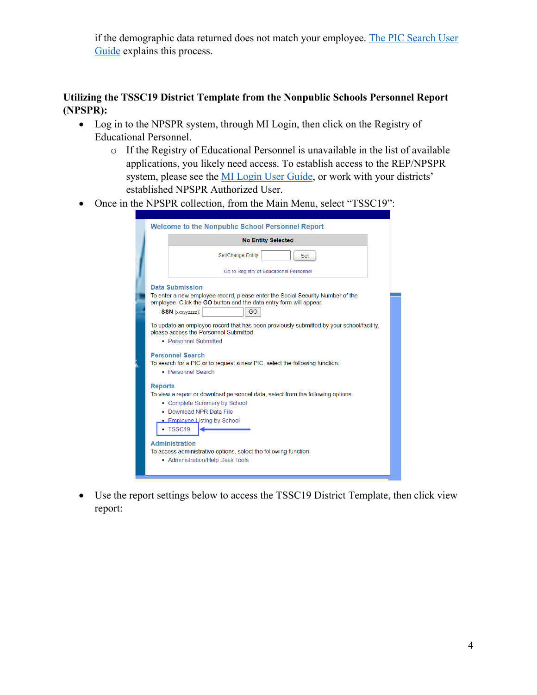if the demographic data returned does not match your employee. [The PIC Search User](https://www.michigan.gov/documents/cepi/PIC_Search_Users_Guide_360498_7.pdf)  [Guide](https://www.michigan.gov/documents/cepi/PIC_Search_Users_Guide_360498_7.pdf) explains this process.

## **Utilizing the TSSC19 District Template from the Nonpublic Schools Personnel Report (NPSPR):**

- Log in to the NPSPR system, through MI Login, then click on the Registry of Educational Personnel.
	- o If the Registry of Educational Personnel is unavailable in the list of available applications, you likely need access. To establish access to the REP/NPSPR system, please see the [MI Login User Guide,](https://www.michigan.gov/documents/cepi/MILogin_Users_Guide_531016_7.pdf) or work with your districts' established NPSPR Authorized User.
- Once in the NPSPR collection, from the Main Menu, select "TSSC19":

|                | <b>Welcome to the Nonpublic School Personnel Report</b>                                                                                                                                            |
|----------------|----------------------------------------------------------------------------------------------------------------------------------------------------------------------------------------------------|
|                | <b>No Entity Selected</b>                                                                                                                                                                          |
|                | Set/Change Entity:<br><b>Set</b>                                                                                                                                                                   |
|                | Go to Registry of Educational Personnel                                                                                                                                                            |
|                | <b>Data Submission</b>                                                                                                                                                                             |
|                | To enter a new employee record, please enter the Social Security Number of the<br>employee. Click the GO button and the data entry form will appear.                                               |
|                | <b>SSN</b> (xxxvvzzzz):<br>GO                                                                                                                                                                      |
|                | To update an employee record that has been previously submitted by your school/facility.<br>please access the Personnel Submitted.<br>• Personnel Submitted                                        |
|                | <b>Personnel Search</b><br>To search for a PIC or to request a new PIC, select the following function:<br>• Personnel Search                                                                       |
| <b>Reports</b> | To view a report or download personnel data, select from the following options:<br>• Complete Summary by School<br>• Download NPR Data File<br><b>Employee Listing by School</b><br>$\cdot$ TSSC19 |
|                | <b>Administration</b><br>To access administrative options, select the following function:<br>• Administration/Help Desk Tools                                                                      |

• Use the report settings below to access the TSSC19 District Template, then click view report: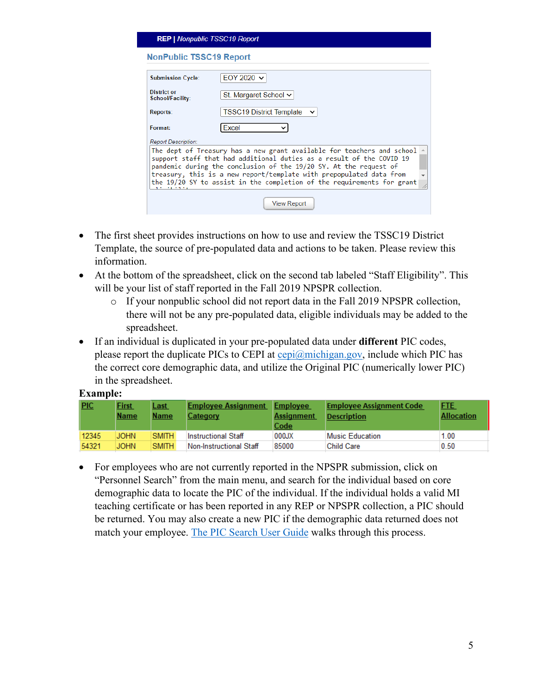| <b>REP   Nonpublic TSSC19 Report</b> |                                                                                                                                                                                                                                                                                                                                                                      |
|--------------------------------------|----------------------------------------------------------------------------------------------------------------------------------------------------------------------------------------------------------------------------------------------------------------------------------------------------------------------------------------------------------------------|
| <b>NonPublic TSSC19 Report</b>       |                                                                                                                                                                                                                                                                                                                                                                      |
| <b>Submission Cycle:</b>             | EOY 2020 $\sim$                                                                                                                                                                                                                                                                                                                                                      |
| District or<br>School/Facility:      | St. Margaret School $\vee$                                                                                                                                                                                                                                                                                                                                           |
| Reports:                             | <b>TSSC19 District Template</b>                                                                                                                                                                                                                                                                                                                                      |
| Format:                              | Excel                                                                                                                                                                                                                                                                                                                                                                |
| <b>Report Description:</b>           |                                                                                                                                                                                                                                                                                                                                                                      |
|                                      | The dept of Treasury has a new grant available for teachers and school<br>support staff that had additional duties as a result of the COVID 19<br>pandemic during the conclusion of the 19/20 SY. At the request of<br>treasury, this is a new report/template with prepopulated data from<br>the 19/20 SY to assist in the completion of the requirements for grant |
|                                      | <b>View Report</b>                                                                                                                                                                                                                                                                                                                                                   |

- The first sheet provides instructions on how to use and review the TSSC19 District Template, the source of pre-populated data and actions to be taken. Please review this information.
- At the bottom of the spreadsheet, click on the second tab labeled "Staff Eligibility". This will be your list of staff reported in the Fall 2019 NPSPR collection.
	- o If your nonpublic school did not report data in the Fall 2019 NPSPR collection, there will not be any pre-populated data, eligible individuals may be added to the spreadsheet.
- If an individual is duplicated in your pre-populated data under **different** PIC codes, please report the duplicate PICs to CEPI at  $\frac{\text{cepi}(a)}{\text{cpi}(a)}$  consideration PIC has the correct core demographic data, and utilize the Original PIC (numerically lower PIC) in the spreadsheet.

#### **Example:**

| <b>PIC</b> | <b>First</b><br><b>Name</b> | <u>Last</u><br><b>Name</b> | <b>Employee Assignment</b><br>Category | Employee<br><b>Assignment</b><br>Code | <b>Employee Assignment Code</b><br><b>Description</b> | <b>FTE</b><br><b>Allocation</b> |
|------------|-----------------------------|----------------------------|----------------------------------------|---------------------------------------|-------------------------------------------------------|---------------------------------|
| 12345      | <b>JOHN</b>                 | <b>SMITH</b>               | <b>Instructional Staff</b>             | 000JX                                 | Music Education                                       | 1.00                            |
| 54321      | <b>JOHN</b>                 | <b>SMITH</b>               | Non-Instructional Staff                | 85000                                 | <b>Child Care</b>                                     | 0.50                            |

• For employees who are not currently reported in the NPSPR submission, click on "Personnel Search" from the main menu, and search for the individual based on core demographic data to locate the PIC of the individual. If the individual holds a valid MI teaching certificate or has been reported in any REP or NPSPR collection, a PIC should be returned. You may also create a new PIC if the demographic data returned does not match your employee. [The PIC Search User Guide](https://www.michigan.gov/documents/cepi/PIC_Search_Users_Guide_360498_7.pdf) walks through this process.